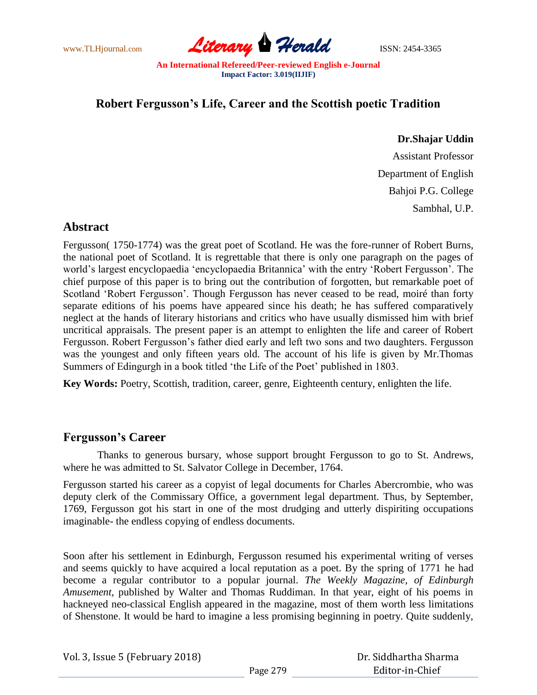

# **Robert Fergusson's Life, Career and the Scottish poetic Tradition**

#### **Dr.Shajar Uddin**

Assistant Professor Department of English Bahjoi P.G. College Sambhal, U.P.

# **Abstract**

Fergusson( 1750-1774) was the great poet of Scotland. He was the fore-runner of Robert Burns, the national poet of Scotland. It is regrettable that there is only one paragraph on the pages of world's largest encyclopaedia 'encyclopaedia Britannica' with the entry 'Robert Fergusson'. The chief purpose of this paper is to bring out the contribution of forgotten, but remarkable poet of Scotland 'Robert Fergusson'. Though Fergusson has never ceased to be read, moiré than forty separate editions of his poems have appeared since his death; he has suffered comparatively neglect at the hands of literary historians and critics who have usually dismissed him with brief uncritical appraisals. The present paper is an attempt to enlighten the life and career of Robert Fergusson. Robert Fergusson"s father died early and left two sons and two daughters. Fergusson was the youngest and only fifteen years old. The account of his life is given by Mr.Thomas Summers of Edingurgh in a book titled "the Life of the Poet" published in 1803.

**Key Words:** Poetry, Scottish, tradition, career, genre, Eighteenth century, enlighten the life.

## **Fergusson's Career**

Thanks to generous bursary, whose support brought Fergusson to go to St. Andrews, where he was admitted to St. Salvator College in December, 1764.

Fergusson started his career as a copyist of legal documents for Charles Abercrombie, who was deputy clerk of the Commissary Office, a government legal department. Thus, by September, 1769, Fergusson got his start in one of the most drudging and utterly dispiriting occupations imaginable- the endless copying of endless documents.

Soon after his settlement in Edinburgh, Fergusson resumed his experimental writing of verses and seems quickly to have acquired a local reputation as a poet. By the spring of 1771 he had become a regular contributor to a popular journal. *The Weekly Magazine*, *of Edinburgh Amusement*, published by Walter and Thomas Ruddiman. In that year, eight of his poems in hackneyed neo-classical English appeared in the magazine, most of them worth less limitations of Shenstone. It would be hard to imagine a less promising beginning in poetry. Quite suddenly,

Vol. 3, Issue 5 (February 2018)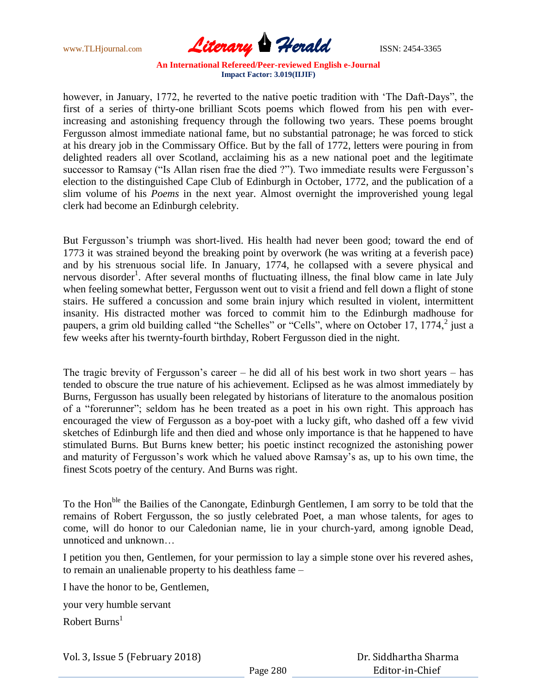

however, in January, 1772, he reverted to the native poetic tradition with "The Daft-Days", the first of a series of thirty-one brilliant Scots poems which flowed from his pen with everincreasing and astonishing frequency through the following two years. These poems brought Fergusson almost immediate national fame, but no substantial patronage; he was forced to stick at his dreary job in the Commissary Office. But by the fall of 1772, letters were pouring in from delighted readers all over Scotland, acclaiming his as a new national poet and the legitimate successor to Ramsay ("Is Allan risen frae the died ?"). Two immediate results were Fergusson's election to the distinguished Cape Club of Edinburgh in October, 1772, and the publication of a slim volume of his *Poems* in the next year. Almost overnight the improverished young legal clerk had become an Edinburgh celebrity.

But Fergusson"s triumph was short-lived. His health had never been good; toward the end of 1773 it was strained beyond the breaking point by overwork (he was writing at a feverish pace) and by his strenuous social life. In January, 1774, he collapsed with a severe physical and nervous disorder<sup>1</sup>. After several months of fluctuating illness, the final blow came in late July when feeling somewhat better, Fergusson went out to visit a friend and fell down a flight of stone stairs. He suffered a concussion and some brain injury which resulted in violent, intermittent insanity. His distracted mother was forced to commit him to the Edinburgh madhouse for paupers, a grim old building called "the Schelles" or "Cells", where on October 17, 1774,<sup>2</sup> just a few weeks after his twernty-fourth birthday, Robert Fergusson died in the night.

The tragic brevity of Fergusson"s career – he did all of his best work in two short years – has tended to obscure the true nature of his achievement. Eclipsed as he was almost immediately by Burns, Fergusson has usually been relegated by historians of literature to the anomalous position of a "forerunner"; seldom has he been treated as a poet in his own right. This approach has encouraged the view of Fergusson as a boy-poet with a lucky gift, who dashed off a few vivid sketches of Edinburgh life and then died and whose only importance is that he happened to have stimulated Burns. But Burns knew better; his poetic instinct recognized the astonishing power and maturity of Fergusson's work which he valued above Ramsay's as, up to his own time, the finest Scots poetry of the century. And Burns was right.

To the Hon<sup>ble</sup> the Bailies of the Canongate, Edinburgh Gentlemen, I am sorry to be told that the remains of Robert Fergusson, the so justly celebrated Poet, a man whose talents, for ages to come, will do honor to our Caledonian name, lie in your church-yard, among ignoble Dead, unnoticed and unknown…

I petition you then, Gentlemen, for your permission to lay a simple stone over his revered ashes, to remain an unalienable property to his deathless fame –

I have the honor to be, Gentlemen,

your very humble servant

Robert Burns<sup>1</sup>

Vol. 3, Issue 5 (February 2018)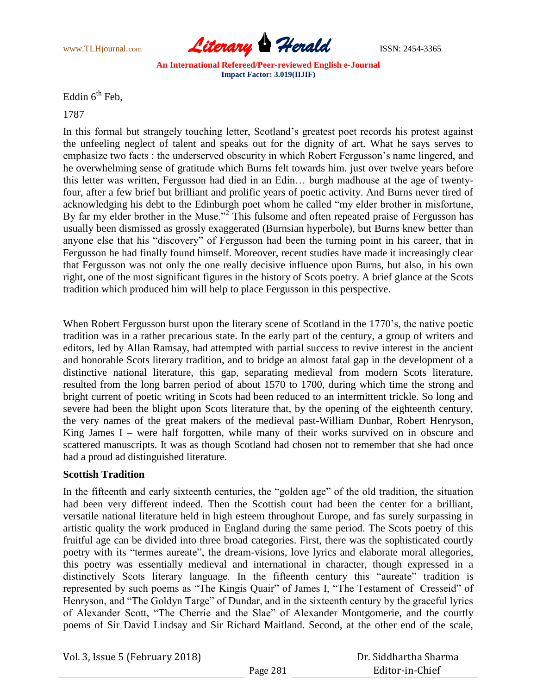

Eddin  $6<sup>th</sup>$  Feb,

1787

In this formal but strangely touching letter, Scotland"s greatest poet records his protest against the unfeeling neglect of talent and speaks out for the dignity of art. What he says serves to emphasize two facts : the underserved obscurity in which Robert Fergusson"s name lingered, and he overwhelming sense of gratitude which Burns felt towards him. just over twelve years before this letter was written, Fergusson had died in an Edin… burgh madhouse at the age of twentyfour, after a few brief but brilliant and prolific years of poetic activity. And Burns never tired of acknowledging his debt to the Edinburgh poet whom he called "my elder brother in misfortune, By far my elder brother in the Muse."<sup>2</sup> This fulsome and often repeated praise of Fergusson has usually been dismissed as grossly exaggerated (Burnsian hyperbole), but Burns knew better than anyone else that his "discovery" of Fergusson had been the turning point in his career, that in Fergusson he had finally found himself. Moreover, recent studies have made it increasingly clear that Fergusson was not only the one really decisive influence upon Burns, but also, in his own right, one of the most significant figures in the history of Scots poetry. A brief glance at the Scots tradition which produced him will help to place Fergusson in this perspective.

When Robert Fergusson burst upon the literary scene of Scotland in the 1770's, the native poetic tradition was in a rather precarious state. In the early part of the century, a group of writers and editors, led by Allan Ramsay, had attempted with partial success to revive interest in the ancient and honorable Scots literary tradition, and to bridge an almost fatal gap in the development of a distinctive national literature, this gap, separating medieval from modern Scots literature, resulted from the long barren period of about 1570 to 1700, during which time the strong and bright current of poetic writing in Scots had been reduced to an intermittent trickle. So long and severe had been the blight upon Scots literature that, by the opening of the eighteenth century, the very names of the great makers of the medieval past-William Dunbar, Robert Henryson, King James I – were half forgotten, while many of their works survived on in obscure and scattered manuscripts. It was as though Scotland had chosen not to remember that she had once had a proud ad distinguished literature.

### **Scottish Tradition**

In the fifteenth and early sixteenth centuries, the "golden age" of the old tradition, the situation had been very different indeed. Then the Scottish court had been the center for a brilliant, versatile national literature held in high esteem throughout Europe, and fas surely surpassing in artistic quality the work produced in England during the same period. The Scots poetry of this fruitful age can be divided into three broad categories. First, there was the sophisticated courtly poetry with its "termes aureate", the dream-visions, love lyrics and elaborate moral allegories, this poetry was essentially medieval and international in character, though expressed in a distinctively Scots literary language. In the fifteenth century this "aureate" tradition is represented by such poems as "The Kingis Quair" of James I, "The Testament of Cresseid" of Henryson, and "The Goldyn Targe" of Dundar, and in the sixteenth century by the graceful lyrics of Alexander Scott, "The Cherrie and the Slae" of Alexander Montgomerie, and the courtly poems of Sir David Lindsay and Sir Richard Maitland. Second, at the other end of the scale,

Vol. 3, Issue 5 (February 2018)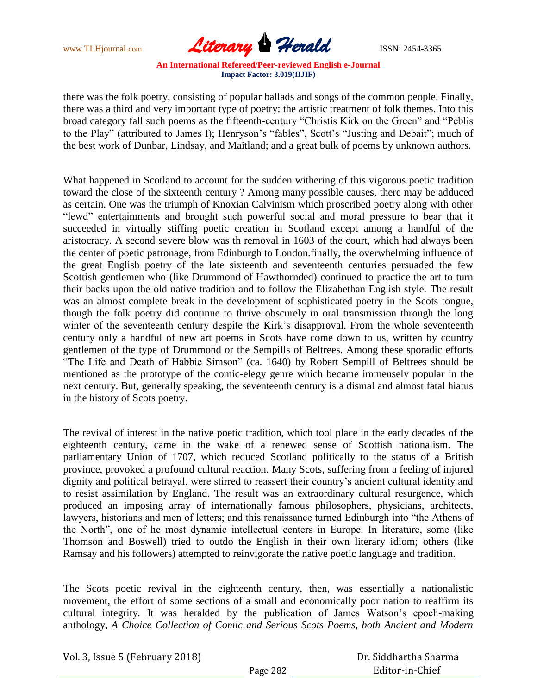

there was the folk poetry, consisting of popular ballads and songs of the common people. Finally, there was a third and very important type of poetry: the artistic treatment of folk themes. Into this broad category fall such poems as the fifteenth-century "Christis Kirk on the Green" and "Peblis to the Play" (attributed to James I); Henryson's "fables", Scott's "Justing and Debait"; much of the best work of Dunbar, Lindsay, and Maitland; and a great bulk of poems by unknown authors.

What happened in Scotland to account for the sudden withering of this vigorous poetic tradition toward the close of the sixteenth century ? Among many possible causes, there may be adduced as certain. One was the triumph of Knoxian Calvinism which proscribed poetry along with other "lewd" entertainments and brought such powerful social and moral pressure to bear that it succeeded in virtually stiffing poetic creation in Scotland except among a handful of the aristocracy. A second severe blow was th removal in 1603 of the court, which had always been the center of poetic patronage, from Edinburgh to London.finally, the overwhelming influence of the great English poetry of the late sixteenth and seventeenth centuries persuaded the few Scottish gentlemen who (like Drummond of Hawthornded) continued to practice the art to turn their backs upon the old native tradition and to follow the Elizabethan English style. The result was an almost complete break in the development of sophisticated poetry in the Scots tongue, though the folk poetry did continue to thrive obscurely in oral transmission through the long winter of the seventeenth century despite the Kirk's disapproval. From the whole seventeenth century only a handful of new art poems in Scots have come down to us, written by country gentlemen of the type of Drummond or the Sempills of Beltrees. Among these sporadic efforts "The Life and Death of Habbie Simson" (ca. 1640) by Robert Sempill of Beltrees should be mentioned as the prototype of the comic-elegy genre which became immensely popular in the next century. But, generally speaking, the seventeenth century is a dismal and almost fatal hiatus in the history of Scots poetry.

The revival of interest in the native poetic tradition, which tool place in the early decades of the eighteenth century, came in the wake of a renewed sense of Scottish nationalism. The parliamentary Union of 1707, which reduced Scotland politically to the status of a British province, provoked a profound cultural reaction. Many Scots, suffering from a feeling of injured dignity and political betrayal, were stirred to reassert their country"s ancient cultural identity and to resist assimilation by England. The result was an extraordinary cultural resurgence, which produced an imposing array of internationally famous philosophers, physicians, architects, lawyers, historians and men of letters; and this renaissance turned Edinburgh into "the Athens of the North", one of he most dynamic intellectual centers in Europe. In literature, some (like Thomson and Boswell) tried to outdo the English in their own literary idiom; others (like Ramsay and his followers) attempted to reinvigorate the native poetic language and tradition.

The Scots poetic revival in the eighteenth century, then, was essentially a nationalistic movement, the effort of some sections of a small and economically poor nation to reaffirm its cultural integrity. It was heralded by the publication of James Watson"s epoch-making anthology, *A Choice Collection of Comic and Serious Scots Poems, both Ancient and Modern* 

Vol. 3, Issue 5 (February 2018)